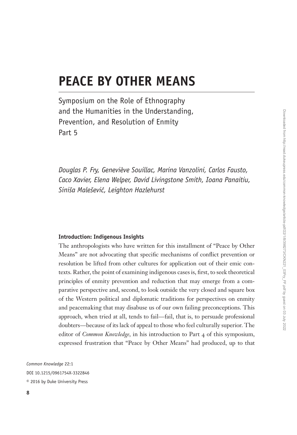# **PEACE BY OTHER MEANS**

Symposium on the Role of Ethnography and the Humanities in the Understanding, Prevention, and Resolution of Enmity Part 5

*Douglas P. Fry, Geneviève Souillac, Marina Vanzolini, Carlos Fausto, Caco Xavier, Elena Welper, David Livingstone Smith, Ioana Panaitiu, Siniša Maleševic´, Leighton Hazlehurst*

## **Introduction: Indigenous Insights**

The anthropologists who have written for this installment of "Peace by Other Means" are not advocating that specific mechanisms of conflict prevention or resolution be lifted from other cultures for application out of their emic contexts. Rather, the point of examining indigenous cases is, first, to seek theoretical principles of enmity prevention and reduction that may emerge from a comparative perspective and, second, to look outside the very closed and square box of the Western political and diplomatic traditions for perspectives on enmity and peacemaking that may disabuse us of our own failing preconceptions. This approach, when tried at all, tends to fail—fail, that is, to persuade professional doubters—because of its lack of appeal to those who feel culturally superior. The editor of *Common Knowledge*, in his introduction to Part 4 of this symposium, expressed frustration that "Peace by Other Means" had produced, up to that

*Common Knowledge* 22:1 DOI 10.1215/0961754X-3322846 © 2016 by Duke University Press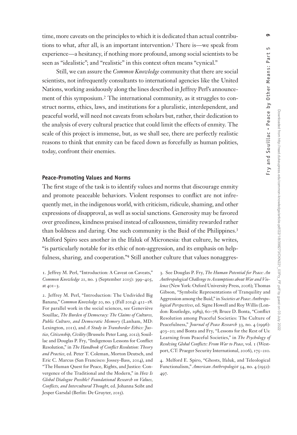Fry and Souillac • Peace by Other Means: Part 5 **9**

Fry and Souillac . Peace by Other Means: Part

 $\sigma$ 

 $\overline{a}$ 

time, more caveats on the principles to which it is dedicated than actual contributions to what, after all, is an important intervention.1 There is—we speak from experience—a hesitancy, if nothing more profound, among social scientists to be seen as "idealistic"; and "realistic" in this context often means "cynical."

Still, we can assure the *Common Knowledge* community that there are social scientists, not infrequently consultants to international agencies like the United Nations, working assiduously along the lines described in Jeffrey Perl's announcement of this symposium.2 The international community, as it struggles to construct norms, ethics, laws, and institutions for a pluralistic, interdependent, and peaceful world, will need not caveats from scholars but, rather, their dedication to the analysis of every cultural practice that could limit the effects of enmity. The scale of this project is immense, but, as we shall see, there are perfectly realistic reasons to think that enmity can be faced down as forcefully as human polities, today, confront their enemies.

#### **Peace-Promoting Values and Norms**

The first stage of the task is to identify values and norms that discourage enmity and promote peaceable behaviors. Violent responses to conflict are not infrequently met, in the indigenous world, with criticism, ridicule, shaming, and other expressions of disapproval, as well as social sanctions. Generosity may be favored over greediness, kindness praised instead of callousness, timidity rewarded rather than boldness and daring. One such community is the Buid of the Philippines.<sup>3</sup> Melford Spiro sees another in the Ifaluk of Micronesia: that culture, he writes, "is particularly notable for its ethic of non-aggression, and its emphasis on helpfulness, sharing, and cooperation."<sup>4</sup> Still another culture that values nonaggres-

1. Jeffrey M. Perl, "Introduction: A Caveat on Caveats," *Common Knowledge* 21, no. 3 (September 2015): 399–405, at 401–3.

2. Jeffrey M. Perl, "Introduction: The Undivided Big Banana," *Common Knowledge* 20, no. 3 (Fall 2014): 412–18. For parallel work in the social sciences, see Geneviève Souillac, *The Burden of Democracy: The Claims of Cultures, Public Culture, and Democratic Memory* (Lanham, MD: Lexington, 2011), and *A Study in Transborder Ethics: Justice, Citizenship, Civility* (Brussels: Peter Lang, 2012); Souillac and Douglas P. Fry, "Indigenous Lessons for Conflict Resolution," in *The Handbook of Conflict Resolution: Theory and Practice*, ed. Peter T. Coleman, Morton Deutsch, and Eric C. Marcus (San Francisco: Jossey-Bass, 2014), and "The Human Quest for Peace, Rights, and Justice: Convergence of the Traditional and the Modern," in *How Is Global Dialogue Possible? Foundational Research on Values, Conflicts, and Intercultural Thought*, ed. Johanna Seibt and Jesper Garsdal (Berlin: De Gruyter, 2015).

3. See Douglas P. Fry, *The Human Potential for Peace: An Anthropological Challenge to Assumptions about War and Violence* (New York: Oxford University Press, 2006); Thomas Gibson, "Symbolic Representations of Tranquility and Aggression among the Buid," in *Societies at Peace: Anthropological Perspectives*, ed. Signe Howell and Roy Willis (London: Routledge, 1989), 60–78; Bruce D. Bonta, "Conflict Resolution among Peaceful Societies: The Culture of Peacefulness," *Journal of Peace Research* 33, no. 4 (1996): 403–20; and Bonta and Fry, "Lessons for the Rest of Us: Learning from Peaceful Societies," in *The Psychology of Resolving Global Conflicts: From War to Peace*, vol. 1 (Westport, CT: Praeger Security International, 2006), 175–210.

4. Melford E. Spiro, "Ghosts, Ifaluk, and Teleological Functionalism," *American Anthropologist* 54, no. 4 (1952): 497.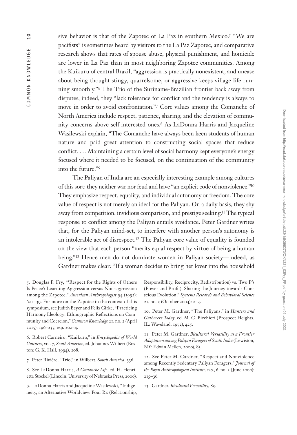are lower in La Paz than in most neighboring Zapotec communities. Among the Kuikuru of central Brazil, "aggression is practically nonexistent, and unease about being thought stingy, quarrelsome, or aggressive keeps village life running smoothly."6 The Trio of the Suriname-Brazilian frontier back away from disputes; indeed, they "lack tolerance for conflict and the tendency is always to move in order to avoid confrontation."7 Core values among the Comanche of North America include respect, patience, sharing, and the elevation of community concerns above self-interested ones.8 As LaDonna Harris and Jacqueline Wasilewski explain, "The Comanche have always been keen students of human nature and paid great attention to constructing social spaces that reduce conflict. . . . Maintaining a certain level of social harmony kept everyone's energy

focused where it needed to be focused, on the continuation of the community into the future."9 The Paliyan of India are an especially interesting example among cultures of this sort: they neither war nor feud and have "an explicit code of nonviolence."10 They emphasize respect, equality, and individual autonomy or freedom. The core value of respect is not merely an ideal for the Paliyan. On a daily basis, they shy away from competition, invidious comparison, and prestige seeking.11 The typical response to conflict among the Paliyan entails avoidance. Peter Gardner writes that, for the Paliyan mind-set, to interfere with another person's autonomy is an intolerable act of disrespect.12 The Paliyan core value of equality is founded on the view that each person "merits equal respect by virtue of being a human being."13 Hence men do not dominate women in Paliyan society—indeed, as Gardner makes clear: "If a woman decides to bring her lover into the household

sive behavior is that of the Zapotec of La Paz in southern Mexico.<sup>5</sup> "We are pacifists" is sometimes heard by visitors to the La Paz Zapotec, and comparative research shows that rates of spouse abuse, physical punishment, and homicide

5. Douglas P. Fry, "'Respect for the Rights of Others Is Peace': Learning Aggression versus Non-aggression among the Zapotec," *American Anthropologist* 94 (1992): 621–39. For more on the Zapotec in the context of this symposium, see Judith Beyer and Felix Girke, "Practicing Harmony Ideology: Ethnographic Reflections on Community and Coercion," *Common Knowledge* 21, no. 2 (April 2015): 196–235, esp. 202–4.

6. Robert Carneiro, "Kuikuro," in *Encyclopedia of World Cultures,* vol. 7, *South America*, ed. Johannes Wilbert (Boston: G. K. Hall, 1994), 208.

7. Peter Rivière, "Trio," in Wilbert, *South America*, 336.

8. See LaDonna Harris, *A Comanche Life*, ed. H. Henrietta Stockel (Lincoln: University of Nebraska Press, 2000).

9. LaDonna Harris and Jacqueline Wasilewski, "Indigeneity, an Alternative Worldview: Four R's (Relationship,

Responsibility, Reciprocity, Redistribution) vs. Two P's (Power and Profit); Sharing the Journey towards Conscious Evolution," *Systems Research and Behavioral Science* 21, no. 5 (October 2004): 2–3.

10. Peter M. Gardner, "The Paliyans," in *Hunters and Gatherers Today*, ed. M. G. Bicchieri (Prospect Heights, IL: Waveland, 1972), 425.

11. Peter M. Gardner, *Bicultural Versatility as a Frontier Adaptation among Paliyan Foragers of South India* (Lewiston, NY: Edwin Mellen, 2000), 83.

12. See Peter M. Gardner, "Respect and Nonviolence among Recently Sedentary Paliyan Foragers," *Journal of the Royal Anthropological Institute*, n.s., 6, no. 2 (June 2000):  $215 - 36.$ 

13. Gardner, *Bicultural Versatility,* 85.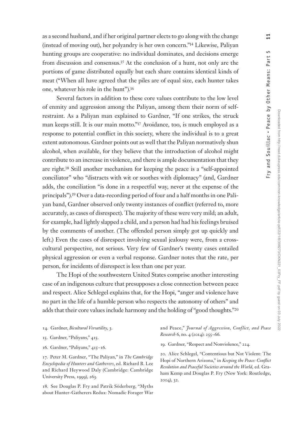Fry and Souillac • Peace by Other Means: Part 5 **11**

Fry and Souillac . Peace by Other Means: Part

 $\Xi$ 

5

as a second husband, and if her original partner elects to go along with the change (instead of moving out), her polyandry is her own concern."14 Likewise, Paliyan hunting groups are cooperative: no individual dominates, and decisions emerge from discussion and consensus.15 At the conclusion of a hunt, not only are the portions of game distributed equally but each share contains identical kinds of meat ("When all have agreed that the piles are of equal size, each hunter takes one, whatever his role in the hunt").16

Several factors in addition to these core values contribute to the low level of enmity and aggression among the Paliyan, among them their norm of selfrestraint. As a Paliyan man explained to Gardner, "If one strikes, the struck man keeps still. It is our main motto."17 Avoidance, too, is much employed as a response to potential conflict in this society, where the individual is to a great extent autonomous. Gardner points out as well that the Paliyan normatively shun alcohol, when available, for they believe that the introduction of alcohol might contribute to an increase in violence, and there is ample documentation that they are right.18 Still another mechanism for keeping the peace is a "self-appointed conciliator" who "distracts with wit or soothes with diplomacy" (and, Gardner adds, the conciliation "is done in a respectful way, never at the expense of the principals").19 Over a data-recording period of four and a half months in one Paliyan band, Gardner observed only twenty instances of conflict (referred to, more accurately, as cases of disrespect). The majority of these were very mild; an adult, for example, had lightly slapped a child, and a person had had his feelings bruised by the comments of another. (The offended person simply got up quickly and left.) Even the cases of disrespect involving sexual jealousy were, from a crosscultural perspective, not serious. Very few of Gardner's twenty cases entailed physical aggression or even a verbal response. Gardner notes that the rate, per person, for incidents of disrespect is less than one per year.

The Hopi of the southwestern United States comprise another interesting case of an indigenous culture that presupposes a close connection between peace and respect. Alice Schlegel explains that, for the Hopi, "anger and violence have no part in the life of a humble person who respects the autonomy of others" and adds that their core values include harmony and the holding of "good thoughts."20

- 14. Gardner, *Bicultural Versatility*, 3.
- 15. Gardner, "Paliyans," 415.
- 16. Gardner, "Paliyans," 415–16.

17. Peter M. Gardner, "The Paliyan," in *The Cambridge Encyclopedia of Hunters and Gatherers*, ed. Richard B. Lee and Richard Heywood Daly (Cambridge: Cambridge University Press, 1999), 263.

18. See Douglas P. Fry and Patrik Söderberg, "Myths about Hunter-Gatherers Redux: Nomadic Forager War

and Peace," *Journal of Aggression, Conflict, and Peace Research* 6, no. 4 (2014): 255–66.

19. Gardner, "Respect and Nonviolence," 224.

20. Alice Schlegel, "Contentious but Not Violent: The Hopi of Northern Arizona," in *Keeping the Peace: Conflict Resolution and Peaceful Societies around the World*, ed. Graham Kemp and Douglas P. Fry (New York: Routledge, 2004), 32.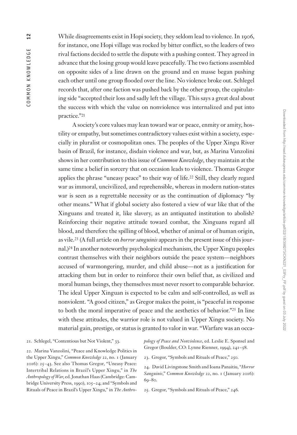While disagreements exist in Hopi society, they seldom lead to violence. In 1906, for instance, one Hopi village was rocked by bitter conflict, so the leaders of two rival factions decided to settle the dispute with a pushing contest. They agreed in advance that the losing group would leave peacefully. The two factions assembled on opposite sides of a line drawn on the ground and en masse began pushing each other until one group flooded over the line. No violence broke out. Schlegel records that, after one faction was pushed back by the other group, the capitulating side "accepted their loss and sadly left the village. This says a great deal about the success with which the value on nonviolence was internalized and put into practice."21

A society's core values may lean toward war or peace, enmity or amity, hostility or empathy, but sometimes contradictory values exist within a society, especially in pluralist or cosmopolitan ones. The peoples of the Upper Xingu River basin of Brazil, for instance, disdain violence and war, but, as Marina Vanzolini shows in her contribution to this issue of *Common Knowledge*, they maintain at the same time a belief in sorcery that on occasion leads to violence. Thomas Gregor applies the phrase "uneasy peace" to their way of life.22 Still, they clearly regard war as immoral, uncivilized, and reprehensible, whereas in modern nation-states war is seen as a regrettable necessity or as the continuation of diplomacy "by other means." What if global society also fostered a view of war like that of the Xinguans and treated it, like slavery, as an antiquated institution to abolish? Reinforcing their negative attitude toward combat, the Xinguans regard all blood, and therefore the spilling of blood, whether of animal or of human origin, as vile.23 (A full article on *horror sanguinis* appears in the present issue of this journal.)24 In another noteworthy psychological mechanism, the Upper Xingu peoples contrast themselves with their neighbors outside the peace system—neighbors accused of warmongering, murder, and child abuse—not as a justification for attacking them but in order to reinforce their own belief that, as civilized and moral human beings, they themselves must never resort to comparable behavior. The ideal Upper Xinguan is expected to be calm and self-controlled, as well as nonviolent. "A good citizen," as Gregor makes the point, is "peaceful in response to both the moral imperative of peace and the aesthetics of behavior."25 In line with these attitudes, the warrior role is not valued in Upper Xingu society. No material gain, prestige, or status is granted to valor in war. "Warfare was an occa-

21. Schlegel, "Contentious but Not Violent," 33.

22. Marina Vanzolini, "Peace and Knowledge Politics in the Upper Xingu," *Common Knowledge* 22, no. 1 (January 2016): 25–43. See also Thomas Gregor, "Uneasy Peace: Intertribal Relations in Brazil's Upper Xingu," in *The Anthropology of War*, ed. Jonathan Haas (Cambridge: Cambridge University Press, 1990), 105–24; and "Symbols and Rituals of Peace in Brazil's Upper Xingu," in *The Anthro-* *pology of Peace and Nonviolence*, ed. Leslie E. Sponsel and Gregor (Boulder, CO: Lynne Rienner, 1994), 241–58.

23. Gregor, "Symbols and Rituals of Peace," 250.

24. David Livingstone Smith and Ioana Panaitiu, "*Horror Sanguinis*," *Common Knowledge* 22, no. 1 ( January 2016): 69–80.

25. Gregor, "Symbols and Rituals of Peace," 246.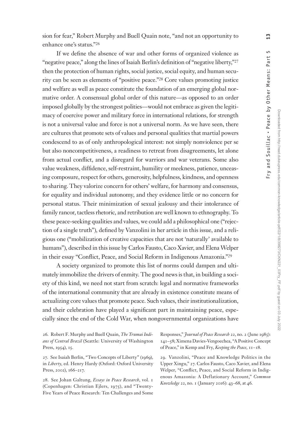sion for fear," Robert Murphy and Buell Quain note, "and not an opportunity to enhance one's status."26

If we define the absence of war and other forms of organized violence as "negative peace," along the lines of Isaiah Berlin's definition of "negative liberty,"27 then the protection of human rights, social justice, social equity, and human security can be seen as elements of "positive peace."28 Core values promoting justice and welfare as well as peace constitute the foundation of an emerging global normative order. A consensual global order of this nature—as opposed to an order imposed globally by the strongest polities—would not embrace as given the legitimacy of coercive power and military force in international relations, for strength is not a universal value and force is not a universal norm. As we have seen, there are cultures that promote sets of values and personal qualities that martial powers condescend to as of only anthropological interest: not simply nonviolence per se but also noncompetitiveness, a readiness to retreat from disagreements, let alone from actual conflict, and a disregard for warriors and war veterans. Some also value weakness, diffidence, self-restraint, humility or meekness, patience, unceasing composure, respect for others, generosity, helpfulness, kindness, and openness to sharing. They valorize concern for others' welfare, for harmony and consensus, for equality and individual autonomy, and they evidence little or no concern for personal status. Their minimization of sexual jealousy and their intolerance of family rancor, tactless rhetoric, and retribution are well known to ethnography. To these peace-seeking qualities and values, we could add a philosophical one ("rejection of a single truth"), defined by Vanzolini in her article in this issue, and a religious one ("mobilization of creative capacities that are not 'naturally' available to humans"), described in this issue by Carlos Fausto, Caco Xavier, and Elena Welper in their essay "Conflict, Peace, and Social Reform in Indigenous Amazonia."29

A society organized to promote this list of norms could dampen and ultimately immobilize the drivers of enmity. The good news is that, in building a society of this kind, we need not start from scratch: legal and normative frameworks of the international community that are already in existence constitute means of actualizing core values that promote peace. Such values, their institutionalization, and their celebration have played a significant part in maintaining peace, especially since the end of the Cold War, when nongovernmental organizations have

26. Robert F. Murphy and Buell Quain, *The Trumai Indians of Central Brazil* (Seattle: University of Washington Press, 1954), 15.

27. See Isaiah Berlin, "Two Concepts of Liberty" (1969), in *Liberty*, ed. Henry Hardy (Oxford: Oxford University Press, 2002), 166-217.

28. See Johan Galtung, *Essays in Peace Research*, vol. 1 (Copenhagen: Christian Ejlers, 1975), and "Twenty-Five Years of Peace Research: Ten Challenges and Some Responses," *Journal of Peace Research* 22, no. 2 (June 1985): 141–58; Ximena Davies-Vengoechea, "A Positive Concept of Peace," in Kemp and Fry, *Keeping the Peace*, 11–18.

29. Vanzolini, "Peace and Knowledge Politics in the Upper Xingu," 27. Carlos Fausto, Caco Xavier, and Elena Welper, "Conflict, Peace, and Social Reform in Indigenous Amazonia: A Deflationary Account," *Common Knowledge* 22, no. 1 (January 2016): 43–68, at 46.

Fry and Souillac • Peace by Other Means: Part 5 **13**

Fry and Souillac . Peace by Other Means: Part

 $\frac{3}{1}$ 

5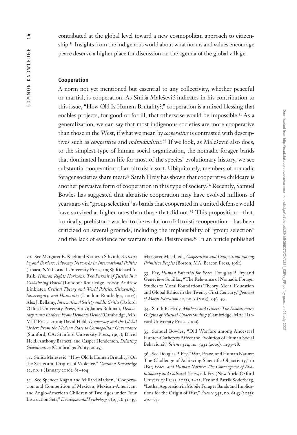contributed at the global level toward a new cosmopolitan approach to citizenship.30 Insights from the indigenous world about what norms and values encourage peace deserve a higher place for discussion on the agenda of the global village.

#### **Cooperation**

A norm not yet mentioned but essential to any collectivity, whether peaceful or martial, is cooperation. As Siniša Malešević indicates in his contribution to this issue, "How Old Is Human Brutality?," cooperation is a mixed blessing that enables projects, for good or for ill, that otherwise would be impossible.<sup>31</sup> As a generalization, we can say that most indigenous societies are more cooperative than those in the West, if what we mean by *cooperative* is contrasted with descriptives such as *competitive* and *individualistic*.<sup>32</sup> If we look, as Malešević also does, to the simplest type of human social organization, the nomadic forager bands that dominated human life for most of the species' evolutionary history, we see substantial cooperation of an altruistic sort. Ubiquitously, members of nomadic forager societies share meat.33 Sarah Hrdy has shown that cooperative childcare is another pervasive form of cooperation in this type of society.34 Recently, Samuel Bowles has suggested that altruistic cooperation may have evolved millions of years ago via "group selection" as bands that cooperated in a united defense would have survived at higher rates than those that did not.<sup>35</sup> This proposition—that, ironically, prehistoric war led to the evolution of altruistic cooperation—has been criticized on several grounds, including the implausibility of "group selection" and the lack of evidence for warfare in the Pleistocene.36 In an article published

30. See Margaret E. Keck and Kathryn Sikkink, *Activists beyond Borders: Advocacy Networks in International Politics* (Ithaca, NY: Cornell University Press, 1998); Richard A. Falk, *Human Rights Horizons: The Pursuit of Justice in a Globalizing World* (London: Routledge, 2000); Andrew Linklater, *Critical Theory and World Politics: Citizenship, Sovereignty, and Humanity* (London: Routledge, 2007); Alex J. Bellamy, *International Society and Its Critics* (Oxford: Oxford University Press, 2005); James Bohman, *Democracy across Borders: From Demos to Demoi* (Cambridge, MA: MIT Press, 2010); David Held, *Democracy and the Global Order: From the Modern State to Cosmopolitan Governance* (Stanford, CA: Stanford University Press, 1995); David Held, Anthony Barnett, and Casper Henderson, *Debating Globalization* (Cambridge: Polity, 2005).

31. Siniša Malešević, "How Old Is Human Brutality? On the Structural Origins of Violence," *Common Knowledge* 22, no. 1 (January 2016): 81–104.

32. See Spencer Kagan and Millard Madsen, "Cooperation and Competition of Mexican, Mexican-American, and Anglo-American Children of Two Ages under Four Instruction Sets," *Developmental Psychology* 5 (1971): 32–39;

Margaret Mead, ed., *Cooperation and Competition among Primitive Peoples* (Boston, MA: Beacon Press, 1961).

33. Fry, *Human Potential for Peace*; Douglas P. Fry and Geneviève Souillac, "The Relevance of Nomadic Forager Studies to Moral Foundations Theory: Moral Education and Global Ethics in the Twenty-First Century," *Journal of Moral Education* 42, no. 3 (2013): 346–59.

34. Sarah B. Hrdy, *Mothers and Others: The Evolutionary Origins of Mutual Understanding* (Cambridge, MA: Harvard University Press, 2009).

35. Samuel Bowles, "Did Warfare among Ancestral Hunter-Gatherers Affect the Evolution of Human Social Behaviors?," *Science* 324, no. 5932 (2009): 1293–28.

36. See Douglas P. Fry, "War, Peace, and Human Nature: The Challenge of Achieving Scientific Objectivity," in *War, Peace, and Human Nature: The Convergence of Evolutionary and Cultural Views*, ed. Fry (New York: Oxford University Press, 2013), 1–22; Fry and Patrik Söderberg, "Lethal Aggression in Mobile Forager Bands and Implications for the Origin of War," *Science* 341, no. 6143 (2013): 270–73.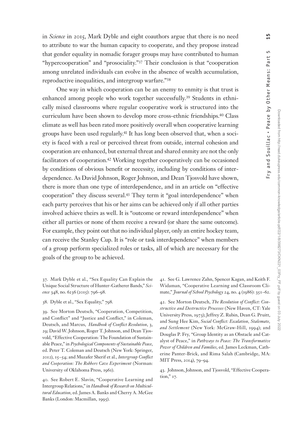Fry and Souillac • Peace by Other Means: Part 5 **15**

Fry and Souillac . Peace by Other Means: Part

45

5

in *Science* in 2015, Mark Dyble and eight coauthors argue that there is no need to attribute to war the human capacity to cooperate, and they propose instead that gender equality in nomadic forager groups may have contributed to human "hypercooperation" and "prosociality."37 Their conclusion is that "cooperation among unrelated individuals can evolve in the absence of wealth accumulation, reproductive inequalities, and intergroup warfare."38

One way in which cooperation can be an enemy to enmity is that trust is enhanced among people who work together successfully.39 Students in ethnically mixed classrooms where regular cooperative work is structured into the curriculum have been shown to develop more cross-ethnic friendships.40 Class climate as well has been rated more positively overall when cooperative learning groups have been used regularly.41 It has long been observed that, when a society is faced with a real or perceived threat from outside, internal cohesion and cooperation are enhanced, but external threat and shared enmity are not the only facilitators of cooperation.<sup>42</sup> Working together cooperatively can be occasioned by conditions of obvious benefit or necessity, including by conditions of interdependence. As David Johnson, Roger Johnson, and Dean Tjosvold have shown, there is more than one type of interdependence, and in an article on "effective cooperation" they discuss several.43 They term it "goal interdependence" when each party perceives that his or her aims can be achieved only if all other parties involved achieve theirs as well. It is "outcome or reward interdependence" when either all parties or none of them receive a reward (or share the same outcome). For example, they point out that no individual player, only an entire hockey team, can receive the Stanley Cup. It is "role or task interdependence" when members of a group perform specialized roles or tasks, all of which are necessary for the goals of the group to be achieved.

37. Mark Dyble et al., "Sex Equality Can Explain the Unique Social Structure of Hunter-Gatherer Bands," *Science* 348, no. 6236 (2015): 796–98.

38. Dyble et al., "Sex Equality," 798.

39. See Morton Deutsch, "Cooperation, Competition, and Conflict" and "Justice and Conflict," in Coleman, Deutsch, and Marcus, *Handbook of Conflict Resolution*, 3, 29; David W. Johnson, Roger T. Johnson, and Dean Tjosvold, "Effective Cooperation: The Foundation of Sustainable Peace," in *Psychological Components of Sustainable Peace*, ed. Peter T. Coleman and Deutsch (New York: Springer, 2012), 15–54; and Muzafer Sherif et al., *Intergroup Conflict and Cooperation: The Robbers Cave Experiment* (Norman: University of Oklahoma Press, 1961).

40. See Robert E. Slavin, "Cooperative Learning and Intergroup Relations," in *Handbook of Research on Multicultural Education*, ed. James A. Banks and Cherry A. McGee Banks (London: Macmillan, 1995).

41. See G. Lawrence Zahn, Spencer Kagan, and Keith F. Widaman, "Cooperative Learning and Classroom Climate," *Journal of School Psychology* 24, no. 4 (1986): 351–62.

42. See Morton Deutsch, *The Resolution of Conflict: Constructive and Destructive Processes* (New Haven, CT: Yale University Press, 1973); Jeffrey Z. Rubin, Dean G. Pruitt, and Sung Hee Kim, *Social Conflict: Escalation, Stalemate, and Settlement* (New York: McGraw-Hill, 1994); and Douglas P. Fry, "Group Identity as an Obstacle and Catalyst of Peace," in *Pathways to Peace: The Transformative Power of Children and Families*, ed. James Leckman, Catherine Panter-Brick, and Rima Salah (Cambridge, MA: MIT Press, 2014), 79–94.

43. Johnson, Johnson, and Tjosvold, "Effective Cooperation," 17.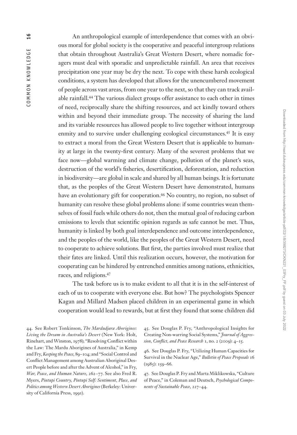An anthropological example of interdependence that comes with an obvious moral for global society is the cooperative and peaceful intergroup relations that obtain throughout Australia's Great Western Desert, where nomadic foragers must deal with sporadic and unpredictable rainfall. An area that receives precipitation one year may be dry the next. To cope with these harsh ecological conditions, a system has developed that allows for the unencumbered movement of people across vast areas, from one year to the next, so that they can track available rainfall.44 The various dialect groups offer assistance to each other in times of need, reciprocally share the shifting resources, and act kindly toward others within and beyond their immediate group. The necessity of sharing the land and its variable resources has allowed people to live together without intergroup enmity and to survive under challenging ecological circumstances.<sup>45</sup> It is easy to extract a moral from the Great Western Desert that is applicable to humanity at large in the twenty-first century. Many of the severest problems that we face now—global warming and climate change, pollution of the planet's seas, destruction of the world's fisheries, desertification, deforestation, and reduction in biodiversity—are global in scale and shared by all human beings. It is fortunate that, as the peoples of the Great Western Desert have demonstrated, humans have an evolutionary gift for cooperation.<sup>46</sup> No country, no region, no subset of humanity can resolve these global problems alone: if some countries wean themselves of fossil fuels while others do not, then the mutual goal of reducing carbon emissions to levels that scientific opinion regards as safe cannot be met. Thus, humanity is linked by both goal interdependence and outcome interdependence, and the peoples of the world, like the peoples of the Great Western Desert, need to cooperate to achieve solutions. But first, the parties involved must realize that their fates are linked. Until this realization occurs, however, the motivation for cooperating can be hindered by entrenched enmities among nations, ethnicities, races, and religions.47

The task before us is to make evident to all that it is in the self-interest of each of us to cooperate with everyone else. But how? The psychologists Spencer Kagan and Millard Madsen placed children in an experimental game in which cooperation would lead to rewards, but at first they found that some children did

44. See Robert Tonkinson, *The Mardudjara Aborigines: Living the Dream in Australia's Desert* (New York: Holt, Rinehart, and Winston, 1978); "Resolving Conflict within the Law: The Mardu Aborigines of Australia," in Kemp and Fry, *Keeping the Peace*, 89–104; and "Social Control and Conflict Management among Australian Aboriginal Desert People before and after the Advent of Alcohol," in Fry, *War, Peace, and Human Nature*, 262–77. See also Fred R. Myers, *Pintupi Country, Pintupi Self: Sentiment, Place, and Politics among Western Desert Aborigines* (Berkeley: University of California Press, 1991).

45. See Douglas P. Fry, "Anthropological Insights for Creating Non-warring Social Systems," *Journal of Aggression, Conflict, and Peace Research* 1, no. 2 (2009): 4–15.

46. See Douglas P. Fry, "Utilizing Human Capacities for Survival in the Nuclear Age," *Bulletin of Peace Proposals* 16 (1985): 159–66.

47. See Douglas P. Fry and Marta Miklikowska, "Culture of Peace," in Coleman and Deutsch, *Psychological Components of Sustainable Peace*, 227–44.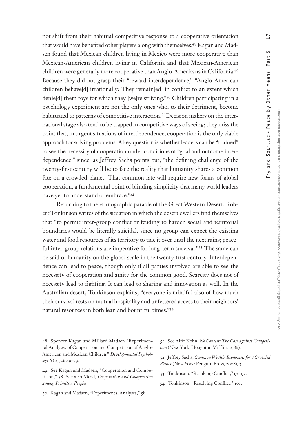Fry and Souillac • Peace by Other Means: Part 5

Fry and Souillac . Peace by Other Means: Part

**17**

5

not shift from their habitual competitive response to a cooperative orientation that would have benefited other players along with themselves.48 Kagan and Madsen found that Mexican children living in Mexico were more cooperative than Mexican-American children living in California and that Mexican-American children were generally more cooperative than Anglo-Americans in California.49 Because they did not grasp their "reward interdependence," "Anglo-American children behave[d] irrationally: They remain[ed] in conflict to an extent which denie[d] them toys for which they [we]re striving."50 Children participating in a psychology experiment are not the only ones who, to their detriment, become habituated to patterns of competitive interaction.<sup>51</sup> Decision makers on the international stage also tend to be trapped in competitive ways of seeing; they miss the point that, in urgent situations of interdependence, cooperation is the only viable approach for solving problems. A key question is whether leaders can be "trained" to see the necessity of cooperation under conditions of "goal and outcome interdependence," since, as Jeffrey Sachs points out, "the defining challenge of the twenty-first century will be to face the reality that humanity shares a common fate on a crowded planet. That common fate will require new forms of global cooperation, a fundamental point of blinding simplicity that many world leaders have yet to understand or embrace."52

Returning to the ethnographic parable of the Great Western Desert, Robert Tonkinson writes of the situation in which the desert dwellers find themselves that "to permit inter-group conflict or feuding to harden social and territorial boundaries would be literally suicidal, since no group can expect the existing water and food resources of its territory to tide it over until the next rains; peaceful inter-group relations are imperative for long-term survival."53 The same can be said of humanity on the global scale in the twenty-first century. Interdependence can lead to peace, though only if all parties involved are able to see the necessity of cooperation and amity for the common good. Scarcity does not of necessity lead to fighting. It can lead to sharing and innovation as well. In the Australian desert, Tonkinson explains, "everyone is mindful also of how much their survival rests on mutual hospitality and unfettered access to their neighbors' natural resources in both lean and bountiful times."54

- 48. Spencer Kagan and Millard Madsen "Experimental Analyses of Cooperation and Competition of Anglo-American and Mexican Children," *Developmental Psychology* 6 (1972): 49–59.
- 49. See Kagan and Madsen, "Cooperation and Competition," 58. See also Mead, *Cooperation and Competition among Primitive Peoples*.
- 50. Kagan and Madsen, "Experimental Analyses," 58.
- 51. See Alfie Kohn, *No Contest: The Case against Competition* (New York: Houghton Mifflin, 1986).

52. Jeffrey Sachs, *Common Wealth: Economics for a Crowded Planet* (New York: Penguin Press, 2008), 3.

- 53. Tonkinson, "Resolving Conflict," 92–93.
- 54. Tonkinson, "Resolving Conflict," 101.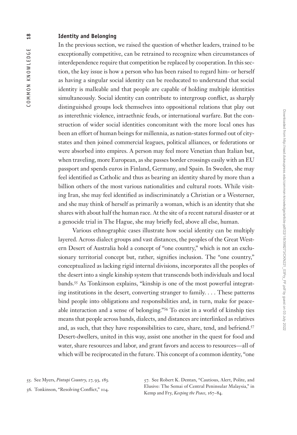## **Identity and Belonging**

In the previous section, we raised the question of whether leaders, trained to be exceptionally competitive, can be retrained to recognize when circumstances of interdependence require that competition be replaced by cooperation. In this section, the key issue is how a person who has been raised to regard him- or herself as having a singular social identity can be reeducated to understand that social identity is malleable and that people are capable of holding multiple identities simultaneously. Social identity can contribute to intergroup conflict, as sharply distinguished groups lock themselves into oppositional relations that play out as interethnic violence, intraethnic feuds, or international warfare. But the construction of wider social identities concomitant with the more local ones has been an effort of human beings for millennia, as nation-states formed out of citystates and then joined commercial leagues, political alliances, or federations or were absorbed into empires. A person may feel more Venetian than Italian but, when traveling, more European, as she passes border crossings easily with an EU passport and spends euros in Finland, Germany, and Spain. In Sweden, she may feel identified as Catholic and thus as bearing an identity shared by more than a billion others of the most various nationalities and cultural roots. While visiting Iran, she may feel identified as indiscriminately a Christian or a Westerner, and she may think of herself as primarily a woman, which is an identity that she shares with about half the human race. At the site of a recent natural disaster or at a genocide trial in The Hague, she may briefly feel, above all else, human.

Various ethnographic cases illustrate how social identity can be multiply layered. Across dialect groups and vast distances, the peoples of the Great Western Desert of Australia hold a concept of "one country," which is not an exclusionary territorial concept but, rather, signifies inclusion. The "one country," conceptualized as lacking rigid internal divisions, incorporates all the peoples of the desert into a single kinship system that transcends both individuals and local bands.55 As Tonkinson explains, "kinship is one of the most powerful integrating institutions in the desert, converting stranger to family. . . . These patterns bind people into obligations and responsibilities and, in turn, make for peaceable interaction and a sense of belonging."56 To exist in a world of kinship ties means that people across bands, dialects, and distances are interlinked as relatives and, as such, that they have responsibilities to care, share, tend, and befriend.<sup>57</sup> Desert-dwellers, united in this way, assist one another in the quest for food and water, share resources and labor, and grant favors and access to resources—all of which will be reciprocated in the future. This concept of a common identity, "one

56. Tonkinson, "Resolving Conflict," 104.

57. See Robert K. Dentan, "Cautious, Alert, Polite, and Elusive: The Semai of Central Peninsular Malaysia," in Kemp and Fry, *Keeping the Peace*, 167–84.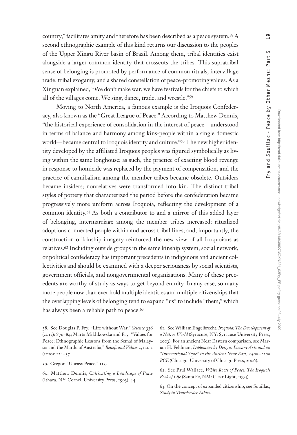Downloaded from http://read.dukeupress.edu/common-knowledge/article-pdf/22/1/8/398273/CKN221\_03Fry\_FF.pdf by guest on 03 July 2022

Downloaded from http://read.dukeupress.edu/common-knowledge/article-pdf/22/1/8/398273/CKN221\_03Fr\_pdf by guest on 03 July 2022

country," facilitates amity and therefore has been described as a peace system.58 A second ethnographic example of this kind returns our discussion to the peoples of the Upper Xingu River basin of Brazil. Among them, tribal identities exist alongside a larger common identity that crosscuts the tribes. This supratribal sense of belonging is promoted by performance of common rituals, intervillage trade, tribal exogamy, and a shared constellation of peace-promoting values. As a Xinguan explained, "We don't make war; we have festivals for the chiefs to which all of the villages come. We sing, dance, trade, and wrestle."59

Moving to North America, a famous example is the Iroquois Confederacy, also known as the "Great League of Peace." According to Matthew Dennis, "the historical experience of consolidation in the interest of peace—understood in terms of balance and harmony among kins-people within a single domestic world—became central to Iroquois identity and culture."60 The new higher identity developed by the affiliated Iroquois peoples was figured symbolically as living within the same longhouse; as such, the practice of exacting blood revenge in response to homicide was replaced by the payment of compensation, and the practice of cannibalism among the member tribes became obsolete. Outsiders became insiders; nonrelatives were transformed into kin. The distinct tribal styles of pottery that characterized the period before the confederation became progressively more uniform across Iroquoia, reflecting the development of a common identity.61 As both a contributor to and a mirror of this added layer of belonging, intermarriage among the member tribes increased; ritualized adoptions connected people within and across tribal lines; and, importantly, the construction of kinship imagery reinforced the new view of all Iroquoians as relatives.62 Including outside groups in the same kinship system, social network, or political confederacy has important precedents in indigenous and ancient collectivities and should be examined with a deeper seriousness by social scientists, government officials, and nongovernmental organizations. Many of these precedents are worthy of study as ways to get beyond enmity. In any case, so many more people now than ever hold multiple identities and multiple citizenships that the overlapping levels of belonging tend to expand "us" to include "them," which has always been a reliable path to peace.<sup>63</sup>

60. Matthew Dennis, *Cultivating a Landscape of Peace* (Ithaca, NY: Cornell University Press, 1993), 44.

61. See William Engelbrecht, *Iroquoia: The Development of a Native World* (Syracuse, NY: Syracuse University Press, 2003). For an ancient Near Eastern comparison, see Marian H. Feldman, *Diplomacy by Design: Luxury Arts and an "International Style" in the Ancient Near East, 1400–1200 BCE* (Chicago: University of Chicago Press, 2006).

<sup>58.</sup> See Douglas P. Fry, "Life without War," *Science* 336 (2012): 879–84; Marta Miklikowska and Fry, "Values for Peace: Ethnographic Lessons from the Semai of Malaysia and the Mardu of Australia," *Beliefs and Values* 2, no. 2 (2010): 124–37.

<sup>59.</sup> Gregor, "Uneasy Peace," 113.

<sup>62.</sup> See Paul Wallace, *White Roots of Peace: The Iroquois Book of Life* (Santa Fe, NM: Clear Light, 1994).

<sup>63.</sup> On the concept of expanded citizenship, see Souillac, *Study in Transborder Ethics*.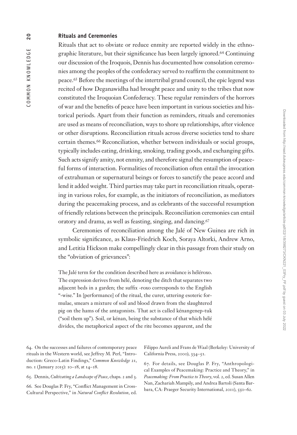## **Rituals and Ceremonies**

Rituals that act to obviate or reduce enmity are reported widely in the ethnographic literature, but their significance has been largely ignored.64 Continuing our discussion of the Iroquois, Dennis has documented how consolation ceremonies among the peoples of the confederacy served to reaffirm the commitment to peace.65 Before the meetings of the intertribal grand council, the epic legend was recited of how Deganawidha had brought peace and unity to the tribes that now constituted the Iroquoian Confederacy. These regular reminders of the horrors of war and the benefits of peace have been important in various societies and historical periods. Apart from their function as reminders, rituals and ceremonies are used as means of reconciliation, ways to shore up relationships, after violence or other disruptions. Reconciliation rituals across diverse societies tend to share certain themes.66 Reconciliation, whether between individuals or social groups, typically includes eating, drinking, smoking, trading goods, and exchanging gifts. Such acts signify amity, not enmity, and therefore signal the resumption of peaceful forms of interaction. Formalities of reconciliation often entail the invocation of extrahuman or supernatural beings or forces to sanctify the peace accord and lend it added weight. Third parties may take part in reconciliation rituals, operating in various roles, for example, as the initiators of reconciliation, as mediators during the peacemaking process, and as celebrants of the successful resumption of friendly relations between the principals. Reconciliation ceremonies can entail oratory and drama, as well as feasting, singing, and dancing.67

Ceremonies of reconciliation among the Jalé of New Guinea are rich in symbolic significance, as Klaus-Friedrich Koch, Soraya Altorki, Andrew Arno, and Letitia Hickson make compellingly clear in this passage from their study on the "obviation of grievances":

The Jalé term for the condition described here as avoidance is héléroxo. The expression derives from hélé, denoting the ditch that separates two adjacent beds in a garden; the suffix -roxo corresponds to the English "-wise." In [performance] of the ritual, the curer, uttering esoteric formulae, smears a mixture of soil and blood drawn from the slaughtered pig on the hams of the antagonists. That act is called kénangenep-tuk ("soil them up"). Soil, or kénan, being the substance of that which hélé divides, the metaphorical aspect of the rite becomes apparent, and the

64. On the successes and failures of contemporary peace rituals in the Western world, see Jeffrey M. Perl, "Introduction: Greco-Latin Findings," *Common Knowledge* 21, no. 1 (January 2015): 10–18, at 14–18.

65. Dennis, *Cultivating a Landscape of Peace*, chaps. 2 and 3.

66. See Douglas P. Fry, "Conflict Management in Cross-Cultural Perspective," in *Natural Conflict Resolution*, ed.

Filippo Aureli and Frans de Waal (Berkeley: University of California Press, 2000), 334–51.

67. For details, see Douglas P. Fry, "Anthropological Examples of Peacemaking: Practice and Theory," in *Peacemaking: From Practice to Theory*, vol. 2, ed. Susan Allen Nan, Zachariah Mampily, and Andrea Bartoli (Santa Barbara, CA: Praeger Security International, 2011), 550–62.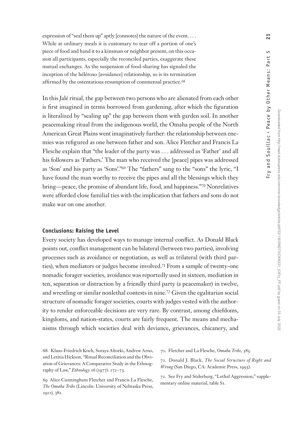Downloaded from http://read.dukeupress.edu/common-knowledge/article-pdf/22/1/8/398273/CKN221\_03Fry\_FF.pdf by guest on 03 July 2022

Fry and Souillac • Peace by Other Means: Part 5 **21**

Fry and Souillac . Peace by Other Means: Part

 $\overline{2}$ 

5

expression of "seal them up" aptly [connotes] the nature of the event.... While at ordinary meals it is customary to tear off a portion of one's piece of food and hand it to a kinsman or neighbor present, on this occasion all participants, especially the reconciled parties, exaggerate these mutual exchanges. As the suspension of food-sharing has signaled the inception of the héléroxo [avoidance] relationship, so is its termination affirmed by the ostentatious resumption of commensal practice.<sup>68</sup>

In this Jalé ritual, the gap between two persons who are alienated from each other is first imagined in terms borrowed from gardening, after which the figuration is literalized by "sealing up" the gap between them with garden soil. In another peacemaking ritual from the indigenous world, the Omaha people of the North American Great Plains went imaginatively further: the relationship between enemies was refigured as one between father and son. Alice Fletcher and Francis La Flesche explain that "the leader of the party was . . . addressed as 'Father' and all his followers as 'Fathers.' The man who received the [peace] pipes was addressed as 'Son' and his party as 'Sons'."69 The "fathers" sang to the "sons" the lyric, "I have found the man worthy to receive the pipes and all the blessings which they bring—peace, the promise of abundant life, food, and happiness."70 Nonrelatives were afforded close familial ties with the implication that fathers and sons do not make war on one another.

## **Conclusions: Raising the Level**

Every society has developed ways to manage internal conflict. As Donald Black points out, conflict management can be bilateral (between two parties), involving processes such as avoidance or negotiation, as well as trilateral (with third parties), when mediators or judges become involved.71 From a sample of twenty-one nomadic forager societies, avoidance was reportedly used in sixteen, mediation in ten, separation or distraction by a friendly third party (a peacemaker) in twelve, and wrestling or similar nonlethal contests in nine.72 Given the egalitarian social structure of nomadic forager societies, courts with judges vested with the authority to render enforceable decisions are very rare. By contrast, among chiefdoms, kingdoms, and nation-states, courts are fairly frequent. The means and mechanisms through which societies deal with deviance, grievances, chicanery, and

68. Klaus-Friedrich Koch, Soraya Altorki, Andrew Arno, and Letitia Hickson, "Ritual Reconciliation and the Obviation of Grievances: A Comparative Study in the Ethnography of Law," *Ethnology* 16 (1977): 272–73.

69 Alice Cunningham Fletcher and Francis La Flesche, *The Omaha Tribe* (Lincoln: University of Nebraska Press, 1911), 381.

70. Fletcher and La Flesche, *Omaha Tribe*, 383.

71. Donald J. Black, *The Social Structure of Right and Wrong* (San Diego, CA: Academic Press, 1993).

72. See Fry and Söderberg, "Lethal Aggression," supplementary online material, table S1.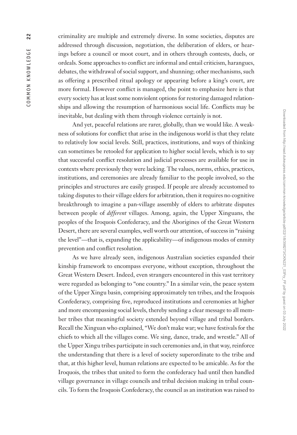criminality are multiple and extremely diverse. In some societies, disputes are addressed through discussion, negotiation, the deliberation of elders, or hear ings before a council or moot court, and in others through contests, duels, or ordeals. Some approaches to conflict are informal and entail criticism, harangues, debates, the withdrawal of social support, and shunning; other mechanisms, such as offering a prescribed ritual apology or appearing before a king's court, are more formal. However conflict is managed, the point to emphasize here is that every society has at least some nonviolent options for restoring damaged relation ships and allowing the resumption of harmonious social life. Conflicts may be inevitable, but dealing with them through violence certainly is not.

And yet, peaceful relations are rarer, globally, than we would like. A weakness of solutions for conflict that arise in the indigenous world is that they relate to relatively low social levels. Still, practices, institutions, and ways of thinking can sometimes be retooled for application to higher social levels, which is to say that successful conflict resolution and judicial processes are available for use in contexts where previously they were lacking. The values, norms, ethics, practices, institutions, and ceremonies are already familiar to the people involved, so the principles and structures are easily grasped. If people are already accustomed to taking disputes to their village elders for arbitration, then it requires no cognitive breakthrough to imagine a pan-village assembly of elders to arbitrate disputes between people of *different* villages. Among, again, the Upper Xinguans, the peoples of the Iroquois Confederacy, and the Aborigines of the Great Western Desert, there are several examples, well worth our attention, of success in "raising the level" —that is, expanding the applicability —of indigenous modes of enmity prevention and conflict resolution.

As we have already seen, indigenous Australian societies expanded their kinship framework to encompass everyone, without exception, throughout the Great Western Desert. Indeed, even strangers encountered in this vast territory were regarded as belonging to "one country." In a similar vein, the peace system of the Upper Xingu basin, comprising approximately ten tribes, and the Iroquois Confederacy, comprising five, reproduced institutions and ceremonies at higher and more encompassing social levels, thereby sending a clear message to all mem ber tribes that meaningful society extended beyond village and tribal borders. Recall the Xinguan who explained, "We don't make war; we have festivals for the chiefs to which all the villages come. We sing, dance, trade, and wrestle." All of the Upper Xingu tribes participate in such ceremonies and, in that way, reinforce the understanding that there is a level of society superordinate to the tribe and that, at this higher level, human relations are expected to be amicable. As for the Iroquois, the tribes that united to form the confederacy had until then handled village governance in village councils and tribal decision making in tribal coun cils. To form the Iroquois Confederacy, the council as an institution was raised to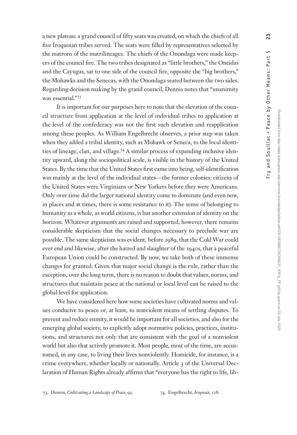Downloaded from http://read.dukeupress.edu/common-knowledge/article-pdf/22/1/8/398273/CKN221\_03Fry\_FF.pdf by guest on 03 July 2022

a new plateau: a grand council of fifty seats was created, on which the chiefs of all five Iroquoian tribes served. The seats were filled by representatives selected by the matrons of the matrilineages. The chiefs of the Onondaga were made keepers of the council fire. The two tribes designated as "little brothers," the Oneidas and the Cayugas, sat to one side of the council fire, opposite the "big brothers," the Mohawks and the Senecas, with the Onondaga seated between the two sides. Regarding decision making by the grand council, Dennis notes that "unanimity was essential."73

It is important for our purposes here to note that the elevation of the council structure from application at the level of individual tribes to application at the level of the confederacy was not the first such elevation and reapplication among these peoples. As William Engelbrecht observes, a prior step was taken when they added a tribal identity, such as Mohawk or Seneca, to the local identities of lineage, clan, and village.74 A similar process of expanding inclusive identity upward, along the sociopolitical scale, is visible in the history of the United States. By the time that the United States first came into being, self-identification was mainly at the level of the individual states—the former colonies: citizens of the United States were Virginians or New Yorkers before they were Americans. Only over time did the larger national identity come to dominate (and even now, in places and at times, there is some resistance to it). The sense of belonging to humanity as a whole, as world citizens, is but another extension of identity on the horizon. Whatever arguments are raised and supported, however, there remains considerable skepticism that the social changes necessary to preclude war are possible. The same skepticism was evident, before 1989, that the Cold War could ever end and likewise, after the hatred and slaughter of the 1940s, that a peaceful European Union could be constructed. By now, we take both of these immense changes for granted. Given that major social change is the rule, rather than the exception, over the long term, there is no reason to doubt that values, norms, and structures that maintain peace at the national or local level can be raised to the global level for application.

We have considered here how some societies have cultivated norms and values conducive to peace or, at least, to nonviolent means of settling disputes. To prevent and reduce enmity, it would be important for all societies, and also for the emerging global society, to explicitly adopt normative policies, practices, institutions, and structures not only that are consistent with the goal of a nonviolent world but also that actively promote it. Most people, most of the time, are accustomed, in any case, to living their lives nonviolently. Homicide, for instance, is a crime everywhere, whether locally or nationally. Article 3 of the Universal Declaration of Human Rights already affirms that "everyone has the right to life, lib-

73. Dennis, *Cultivating a Landscape of Peace*, 95. 74. Engelbrecht, *Iroquoia*, 128.